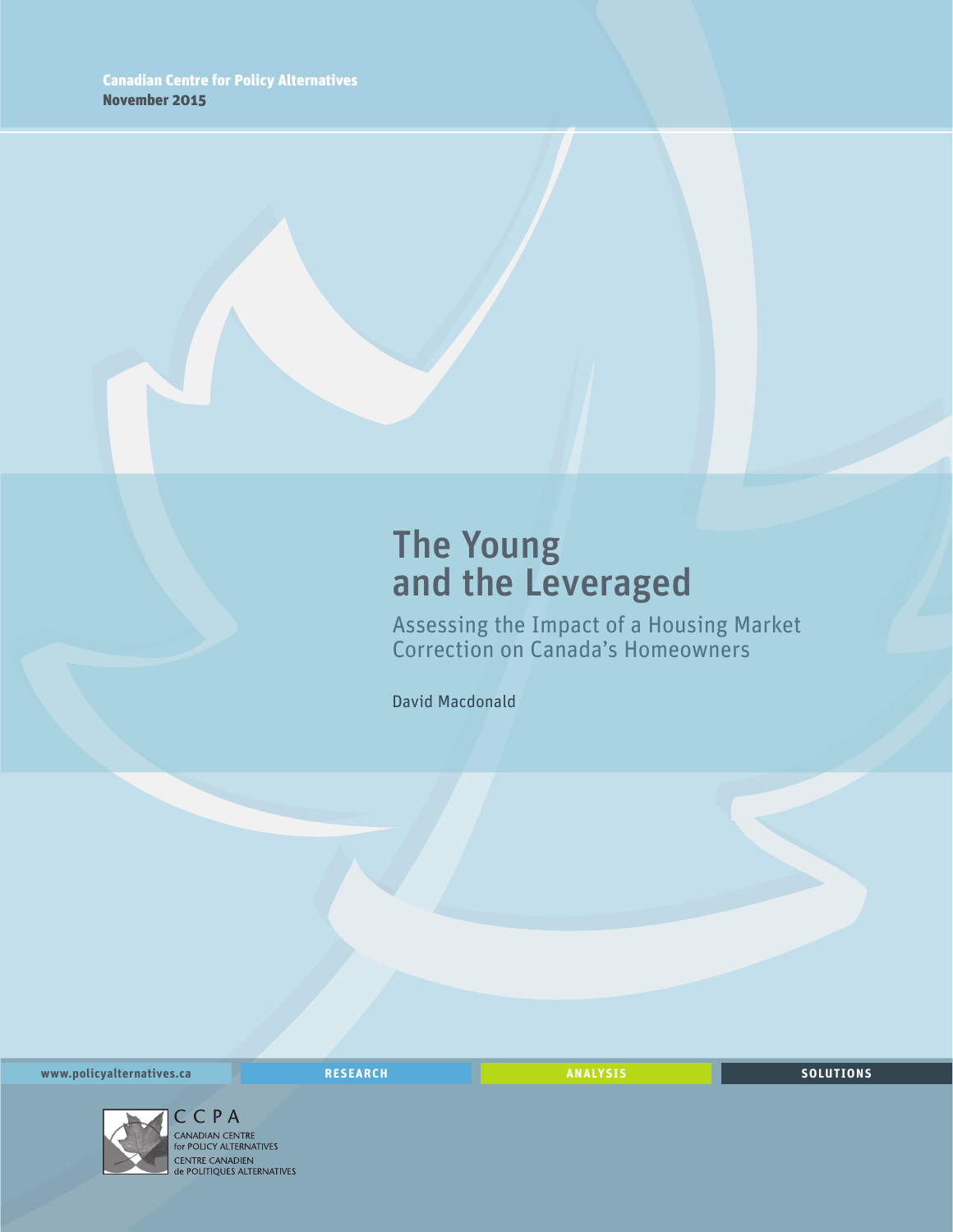## The Young and the Leveraged

Assessing the Impact of a Housing Market Correction on Canada's Homeowners

David Macdonald

**www.policyalternatives.ca** <mark>RESEARCH</mark> ANALYSIS SOLUTIONS



C C P A<br>CANADIAN CENTRE for POLICY ALTERNATIVES CENTRE CANADIEN<br> **CENTRE CANADIEN<br>
de POLITIQUES ALTERNATIVES**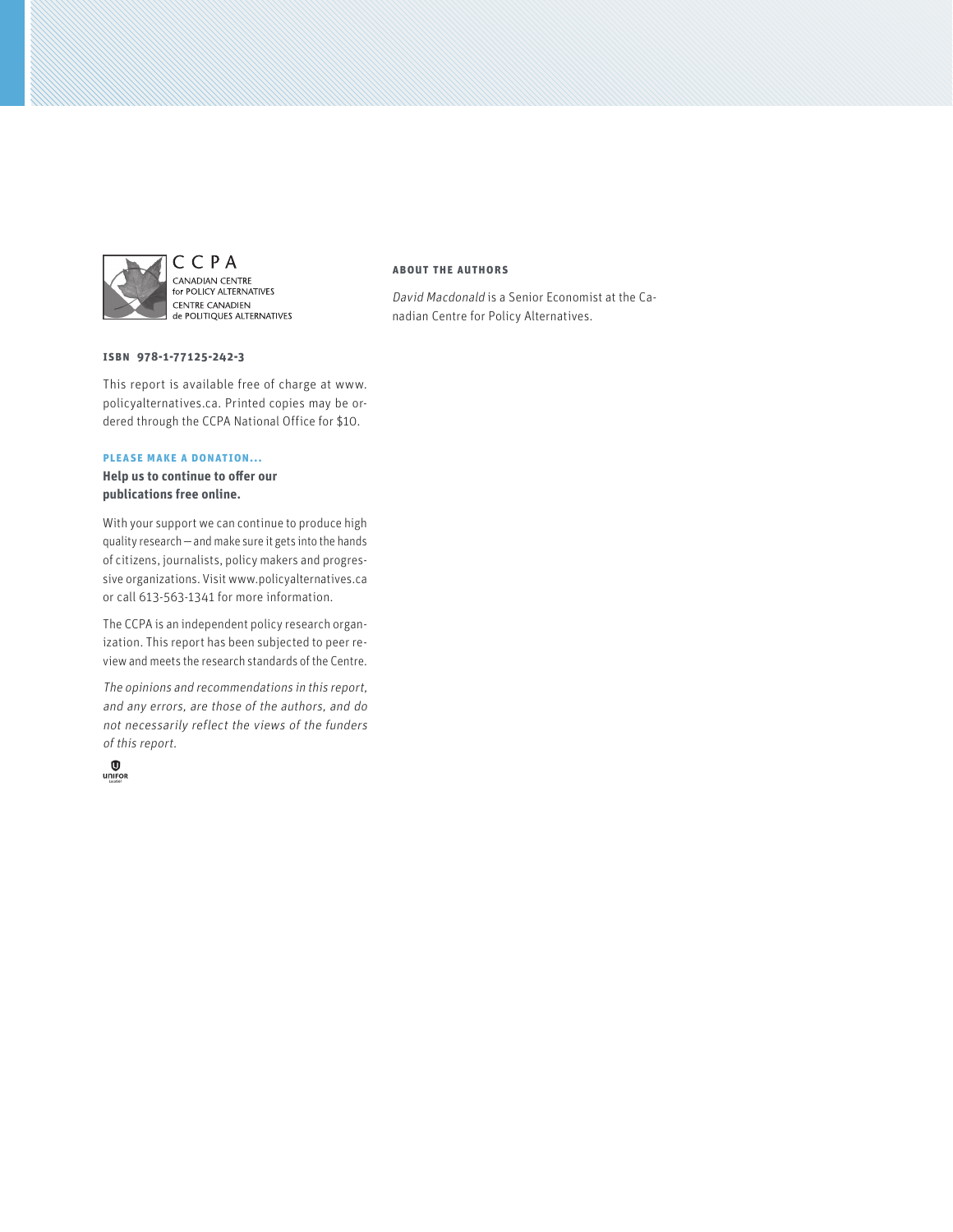

CCPA CANADIAN CENTRE<br>for POLICY ALTERNATIVES CENTRE CANADIEN de POLITIQUES ALTERNATIVES

#### **ISBN 978-1-77125-242-3**

This report is available free of charge at www. policyalternatives.ca. Printed copies may be ordered through the CCPA National Office for \$10.

#### **Please make a donation...**

**Help us to continue to offer our publications free online.**

With your support we can continue to produce high quality research—and make sure it gets into the hands of citizens, journalists, policy makers and progressive organizations. Visit www.policyalternatives.ca or call 613-563-1341 for more information.

The CCPA is an independent policy research organization. This report has been subjected to peer review and meets the research standards of the Centre.

The opinions and recommendations in this report, and any errors, are those of the authors, and do not necessarily reflect the views of the funders of this report.



#### **About the authors**

David Macdonald is a Senior Economist at the Canadian Centre for Policy Alternatives.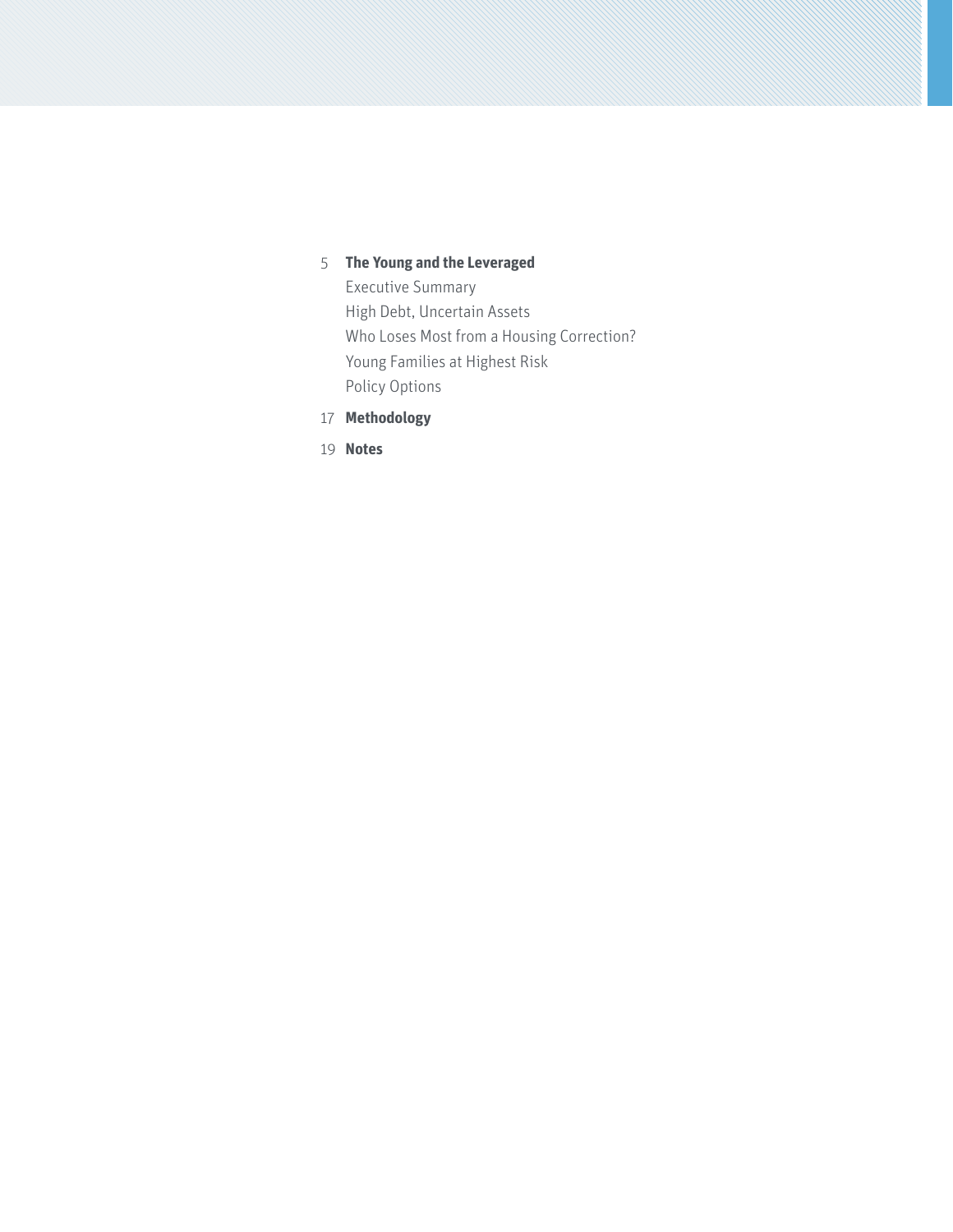## 5 **[The Young and the Leveraged](#page-4-0)**

[Executive Summary](#page-4-0) [High Debt, Uncertain Assets](#page-7-0) [Who Loses Most from a Housing Correction?](#page-8-0) [Young Families at Highest Risk](#page-12-0) [Policy Options](#page-14-0)

- 17 **[Methodology](#page-16-0)**
- 19 **[Notes](#page-18-0)**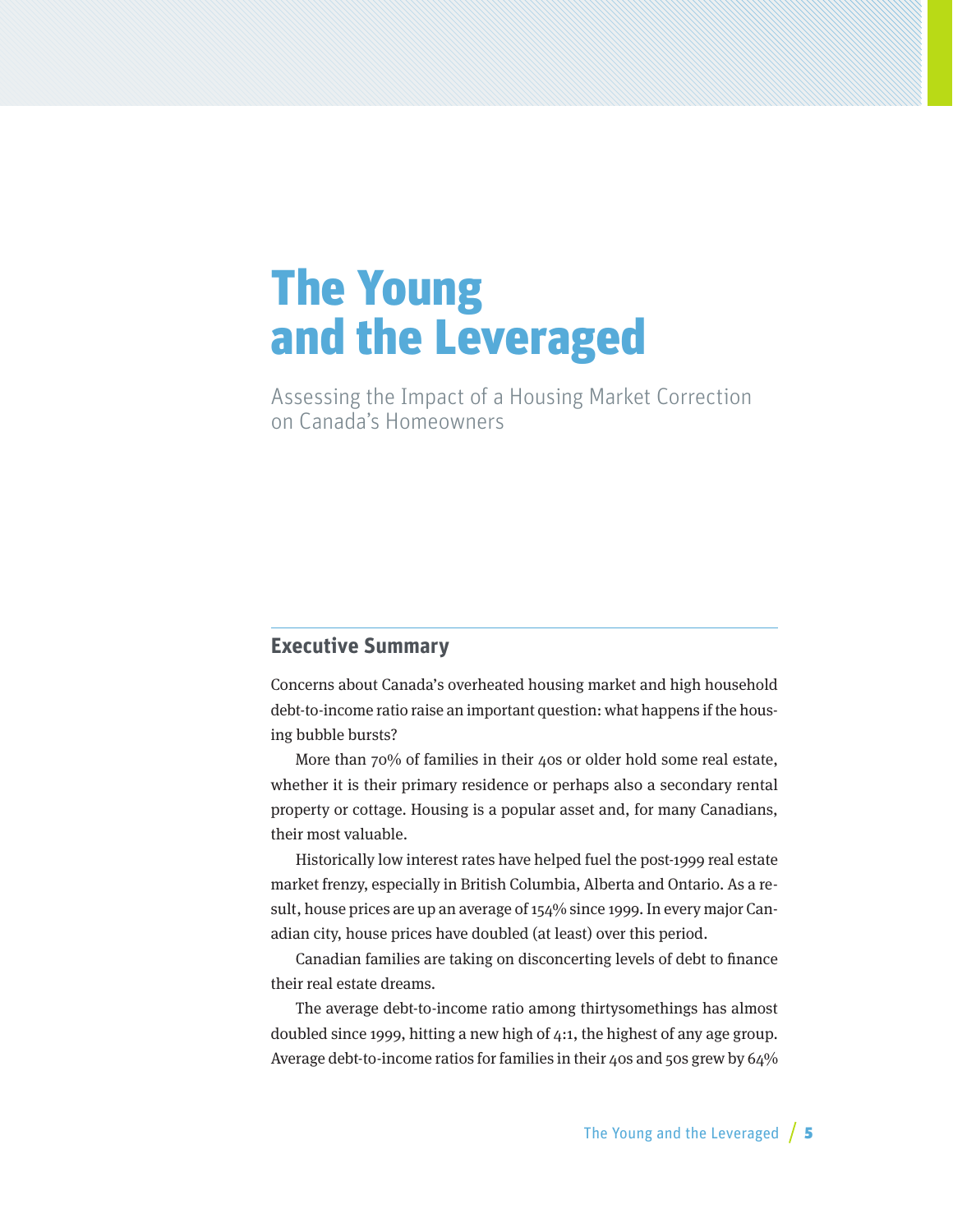# <span id="page-4-0"></span>The Young and the Leveraged

Assessing the Impact of a Housing Market Correction on Canada's Homeowners

### **Executive Summary**

Concerns about Canada's overheated housing market and high household debt-to-income ratio raise an important question: what happens if the housing bubble bursts?

More than 70% of families in their 40s or older hold some real estate, whether it is their primary residence or perhaps also a secondary rental property or cottage. Housing is a popular asset and, for many Canadians, their most valuable.

Historically low interest rates have helped fuel the post-1999 real estate market frenzy, especially in British Columbia, Alberta and Ontario. As a result, house prices are up an average of 154% since 1999. In every major Canadian city, house prices have doubled (at least) over this period.

Canadian families are taking on disconcerting levels of debt to finance their real estate dreams.

The average debt-to-income ratio among thirtysomethings has almost doubled since 1999, hitting a new high of 4:1, the highest of any age group. Average debt-to-income ratios for families in their 40s and 50s grew by 64%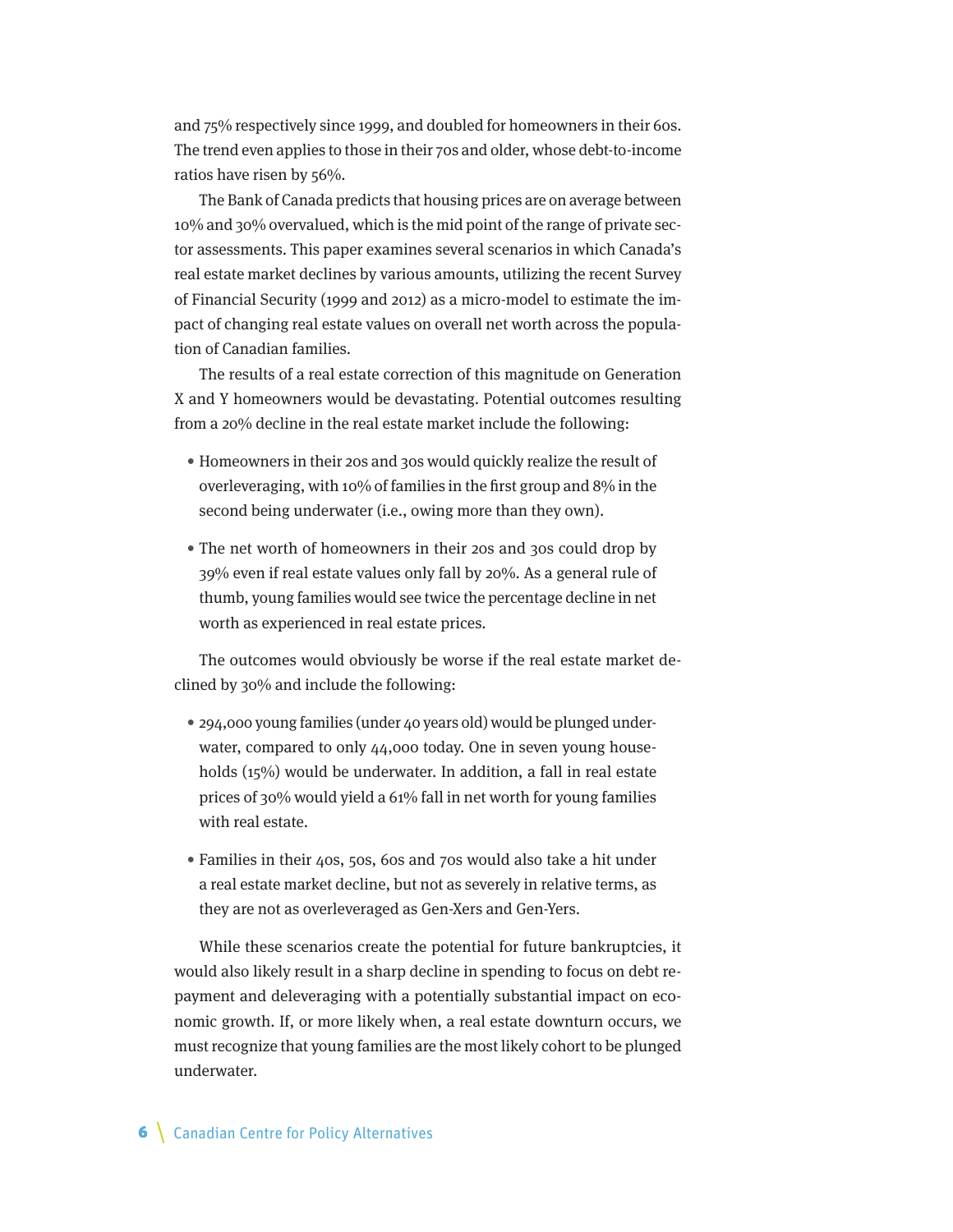and 75% respectively since 1999, and doubled for homeowners in their 60s. The trend even applies to those in their 70s and older, whose debt-to-income ratios have risen by 56%.

The Bank of Canada predicts that housing prices are on average between 10% and 30% overvalued, which is the mid point of the range of private sector assessments. This paper examines several scenarios in which Canada's real estate market declines by various amounts, utilizing the recent Survey of Financial Security (1999 and 2012) as a micro-model to estimate the impact of changing real estate values on overall net worth across the population of Canadian families.

The results of a real estate correction of this magnitude on Generation X and Y homeowners would be devastating. Potential outcomes resulting from a 20% decline in the real estate market include the following:

- Homeowners in their 20s and 30s would quickly realize the result of overleveraging, with 10% of families in the first group and 8% in the second being underwater (i.e., owing more than they own).
- The net worth of homeowners in their 20s and 30s could drop by 39% even if real estate values only fall by 20%. As a general rule of thumb, young families would see twice the percentage decline in net worth as experienced in real estate prices.

The outcomes would obviously be worse if the real estate market declined by 30% and include the following:

- 294,000 young families (under 40 years old) would be plunged underwater, compared to only 44,000 today. One in seven young households (15%) would be underwater. In addition, a fall in real estate prices of 30% would yield a 61% fall in net worth for young families with real estate.
- Families in their 40s, 50s, 60s and 70s would also take a hit under a real estate market decline, but not as severely in relative terms, as they are not as overleveraged as Gen-Xers and Gen-Yers.

While these scenarios create the potential for future bankruptcies, it would also likely result in a sharp decline in spending to focus on debt repayment and deleveraging with a potentially substantial impact on economic growth. If, or more likely when, a real estate downturn occurs, we must recognize that young families are the most likely cohort to be plunged underwater.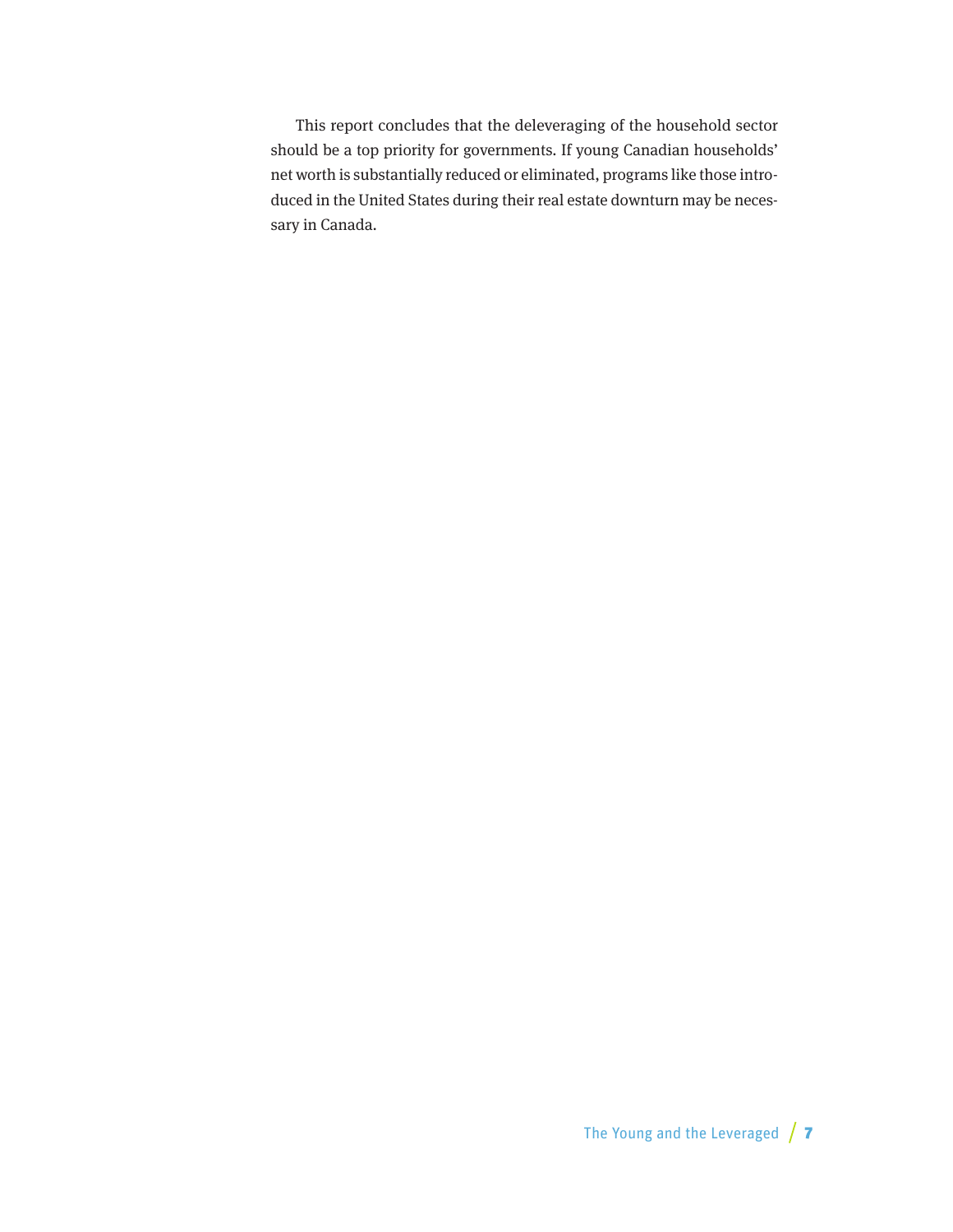This report concludes that the deleveraging of the household sector should be a top priority for governments. If young Canadian households' net worth is substantially reduced or eliminated, programs like those introduced in the United States during their real estate downturn may be necessary in Canada.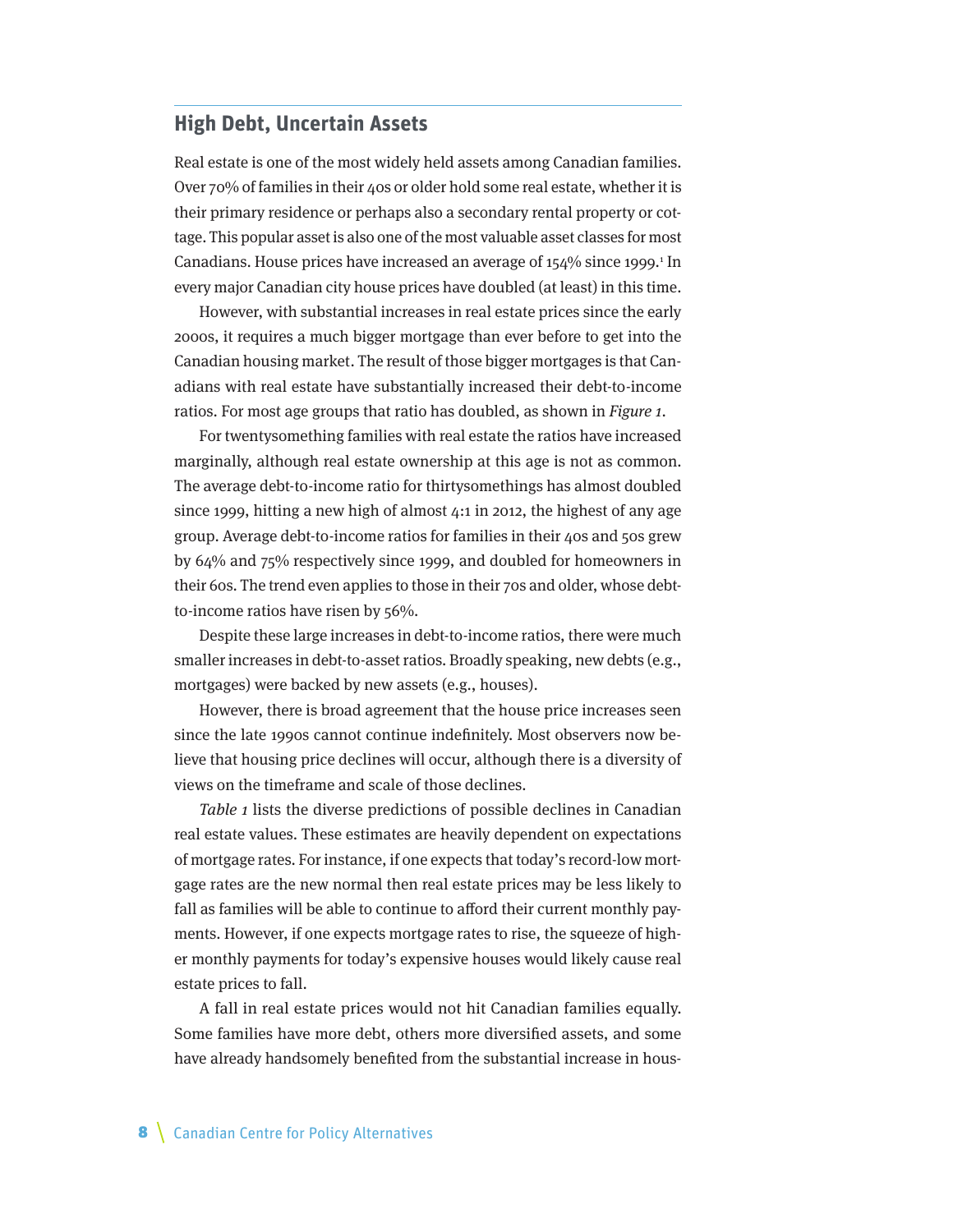#### <span id="page-7-0"></span>**High Debt, Uncertain Assets**

Real estate is one of the most widely held assets among Canadian families. Over 70% of families in their 40s or older hold some real estate, whether it is their primary residence or perhaps also a secondary rental property or cottage. This popular asset is also one of the most valuable asset classes for most Canadians. House prices have increased an average of  $154\%$  since 1999.<sup>1</sup> In every major Canadian city house prices have doubled (at least) in this time.

However, with substantial increases in real estate prices since the early 2000s, it requires a much bigger mortgage than ever before to get into the Canadian housing market. The result of those bigger mortgages is that Canadians with real estate have substantially increased their debt-to-income ratios. For most age groups that ratio has doubled, as shown in Figure 1.

For twentysomething families with real estate the ratios have increased marginally, although real estate ownership at this age is not as common. The average debt-to-income ratio for thirtysomethings has almost doubled since 1999, hitting a new high of almost 4:1 in 2012, the highest of any age group. Average debt-to-income ratios for families in their 40s and 50s grew by 64% and 75% respectively since 1999, and doubled for homeowners in their 60s. The trend even applies to those in their 70s and older, whose debtto-income ratios have risen by 56%.

Despite these large increases in debt-to-income ratios, there were much smaller increases in debt-to-asset ratios. Broadly speaking, new debts (e.g., mortgages) were backed by new assets (e.g., houses).

However, there is broad agreement that the house price increases seen since the late 1990s cannot continue indefinitely. Most observers now believe that housing price declines will occur, although there is a diversity of views on the timeframe and scale of those declines.

Table 1 lists the diverse predictions of possible declines in Canadian real estate values. These estimates are heavily dependent on expectations of mortgage rates. For instance, if one expects that today's record-low mortgage rates are the new normal then real estate prices may be less likely to fall as families will be able to continue to afford their current monthly payments. However, if one expects mortgage rates to rise, the squeeze of higher monthly payments for today's expensive houses would likely cause real estate prices to fall.

A fall in real estate prices would not hit Canadian families equally. Some families have more debt, others more diversified assets, and some have already handsomely benefited from the substantial increase in hous-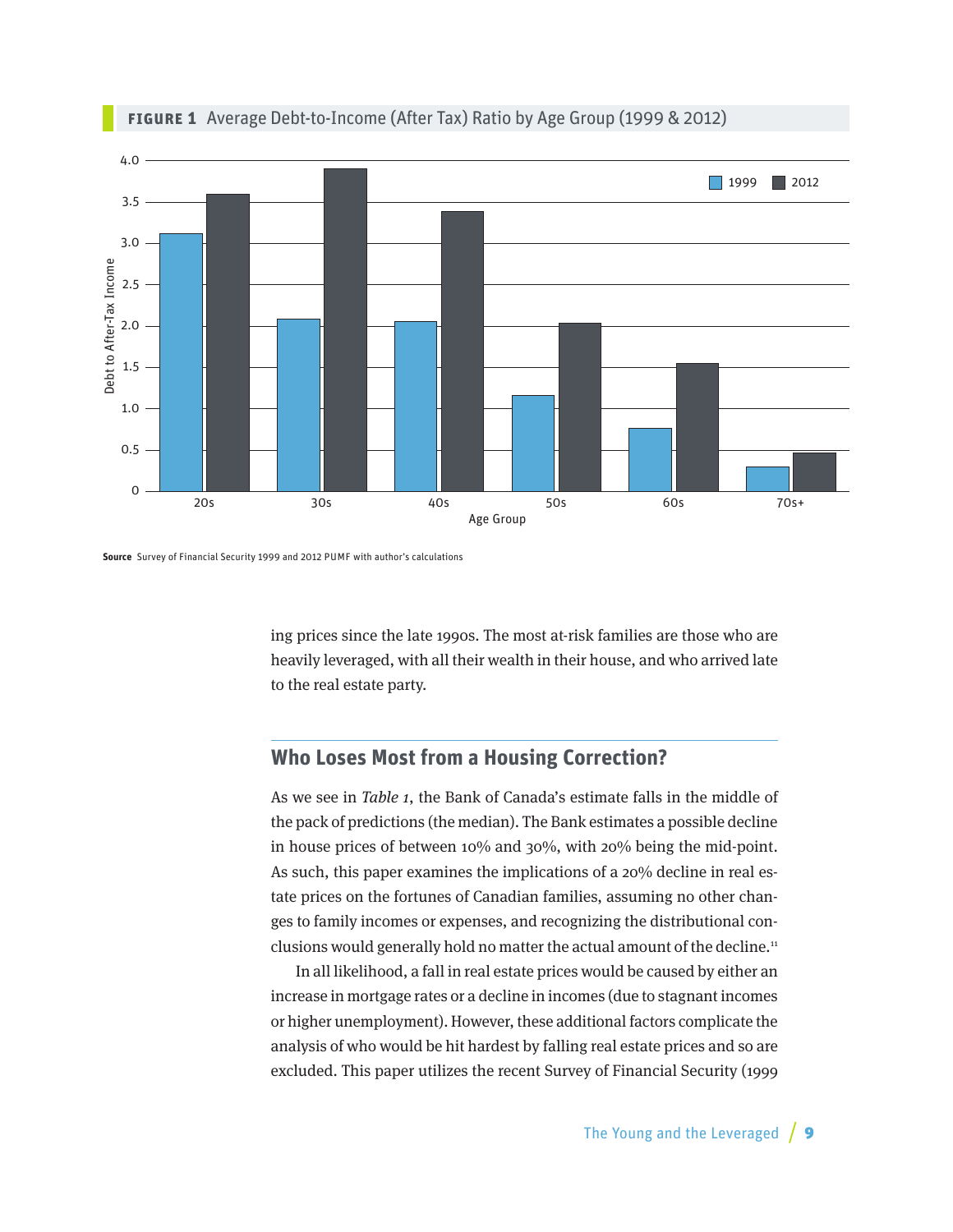<span id="page-8-0"></span>

#### **Figure 1** Average Debt-to-Income (After Tax) Ratio by Age Group (1999 & 2012)

**Source** Survey of Financial Security 1999 and 2012 PUMF with author's calculations

ing prices since the late 1990s. The most at-risk families are those who are heavily leveraged, with all their wealth in their house, and who arrived late to the real estate party.

## **Who Loses Most from a Housing Correction?**

As we see in Table 1, the Bank of Canada's estimate falls in the middle of the pack of predictions (the median). The Bank estimates a possible decline in house prices of between 10% and 30%, with 20% being the mid-point. As such, this paper examines the implications of a 20% decline in real estate prices on the fortunes of Canadian families, assuming no other changes to family incomes or expenses, and recognizing the distributional conclusions would generally hold no matter the actual amount of the decline.<sup>11</sup>

In all likelihood, a fall in real estate prices would be caused by either an increase in mortgage rates or a decline in incomes (due to stagnant incomes or higher unemployment). However, these additional factors complicate the analysis of who would be hit hardest by falling real estate prices and so are excluded. This paper utilizes the recent Survey of Financial Security (1999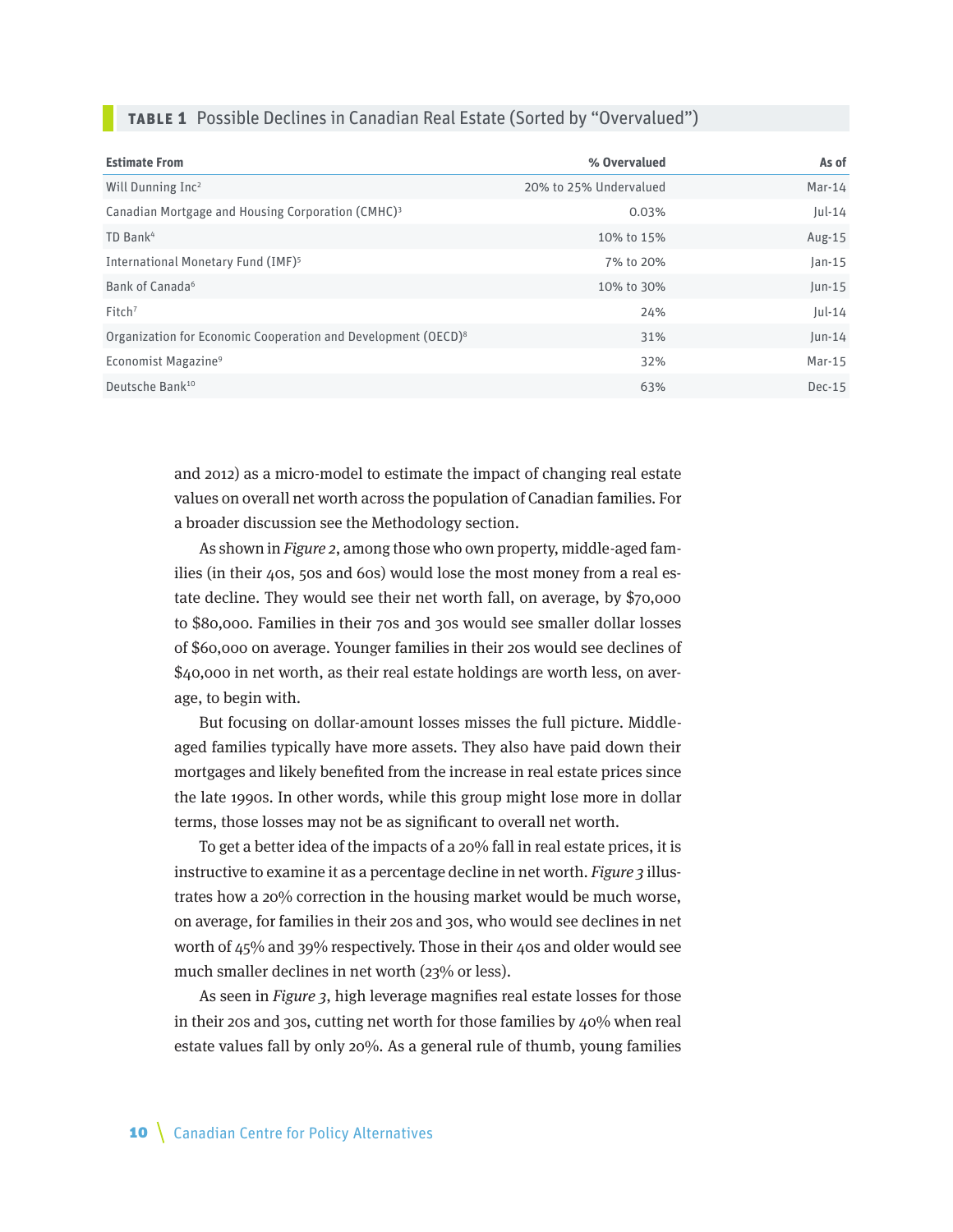|  |  |  |  |  |  | <b>TABLE 1</b> Possible Declines in Canadian Real Estate (Sorted by "Overvalued") |  |
|--|--|--|--|--|--|-----------------------------------------------------------------------------------|--|
|--|--|--|--|--|--|-----------------------------------------------------------------------------------|--|

| <b>Estimate From</b>                                                      | % Overvalued           | As of     |
|---------------------------------------------------------------------------|------------------------|-----------|
| Will Dunning Inc <sup>2</sup>                                             | 20% to 25% Undervalued | $Mar-14$  |
| Canadian Mortgage and Housing Corporation (CMHC) <sup>3</sup>             | 0.03%                  | $ ul-14 $ |
| TD Bank <sup>4</sup>                                                      | 10% to 15%             | Aug-15    |
| International Monetary Fund (IMF) <sup>5</sup>                            | 7% to 20%              | $Jan-15$  |
| Bank of Canada <sup>6</sup>                                               | 10% to 30%             | $ un-15 $ |
| Fitch <sup>7</sup>                                                        | 24%                    | $ ul-14 $ |
| Organization for Economic Cooperation and Development (OECD) <sup>8</sup> | 31%                    | $ un-14 $ |
| Economist Magazine <sup>9</sup>                                           | 32%                    | $Mar-15$  |
| Deutsche Bank <sup>10</sup>                                               | 63%                    | $Dec-15$  |

and 2012) as a micro-model to estimate the impact of changing real estate values on overall net worth across the population of Canadian families. For a broader discussion see the Methodology section.

As shown in Figure 2, among those who own property, middle-aged families (in their 40s, 50s and 60s) would lose the most money from a real estate decline. They would see their net worth fall, on average, by \$70,000 to \$80,000. Families in their 70s and 30s would see smaller dollar losses of \$60,000 on average. Younger families in their 20s would see declines of \$40,000 in net worth, as their real estate holdings are worth less, on average, to begin with.

But focusing on dollar-amount losses misses the full picture. Middleaged families typically have more assets. They also have paid down their mortgages and likely benefited from the increase in real estate prices since the late 1990s. In other words, while this group might lose more in dollar terms, those losses may not be as significant to overall net worth.

To get a better idea of the impacts of a 20% fall in real estate prices, it is instructive to examine it as a percentage decline in net worth. Figure 3 illustrates how a 20% correction in the housing market would be much worse, on average, for families in their 20s and 30s, who would see declines in net worth of 45% and 39% respectively. Those in their 40s and older would see much smaller declines in net worth (23% or less).

As seen in Figure 3, high leverage magnifies real estate losses for those in their 20s and 30s, cutting net worth for those families by 40% when real estate values fall by only 20%. As a general rule of thumb, young families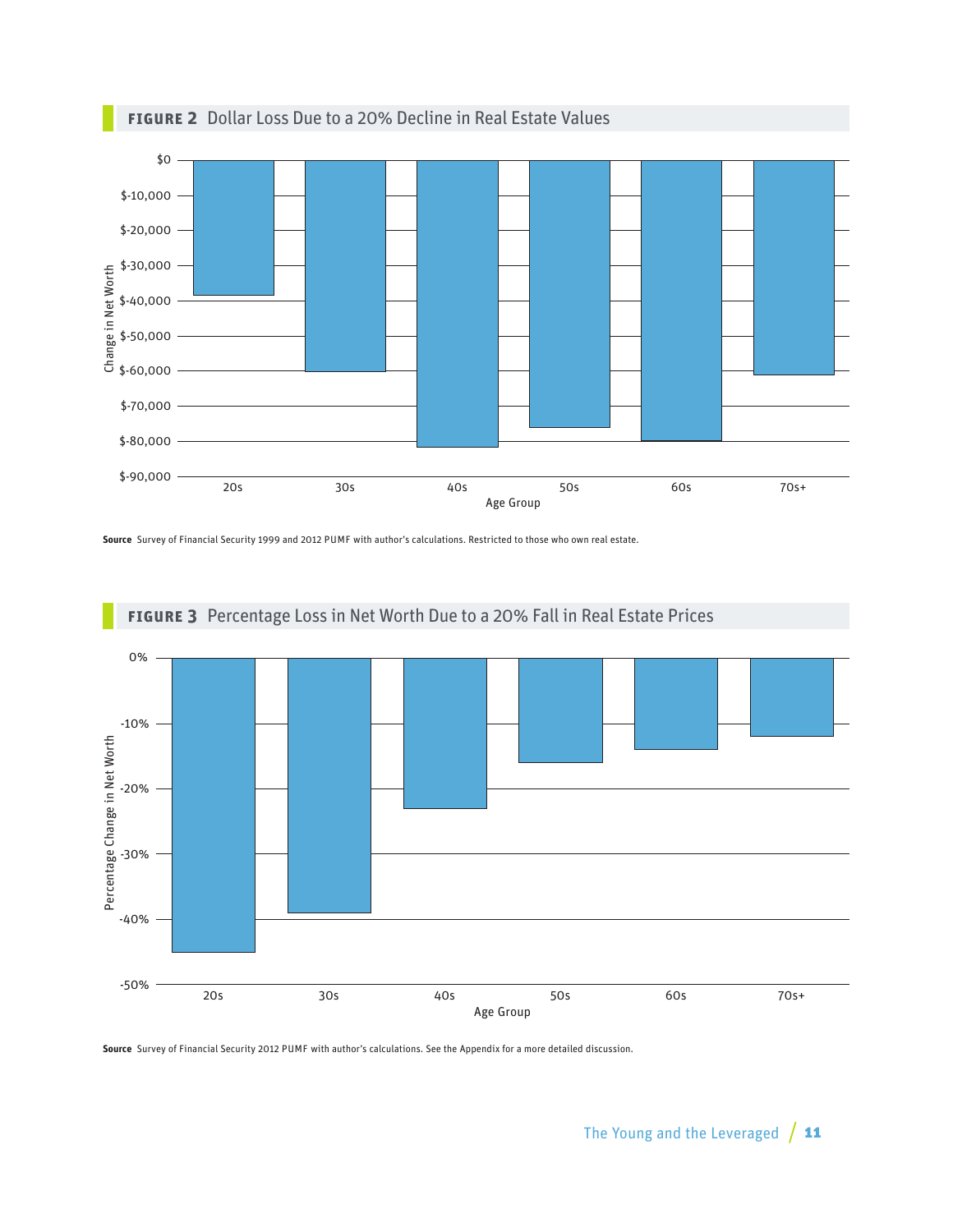

### **Figure 2** Dollar Loss Due to a 20% Decline in Real Estate Values

**Source** Survey of Financial Security 1999 and 2012 PUMF with author's calculations. Restricted to those who own real estate.



### **Figure 3** Percentage Loss in Net Worth Due to a 20% Fall in Real Estate Prices

**Source** Survey of Financial Security 2012 PUMF with author's calculations. See the Appendix for a more detailed discussion.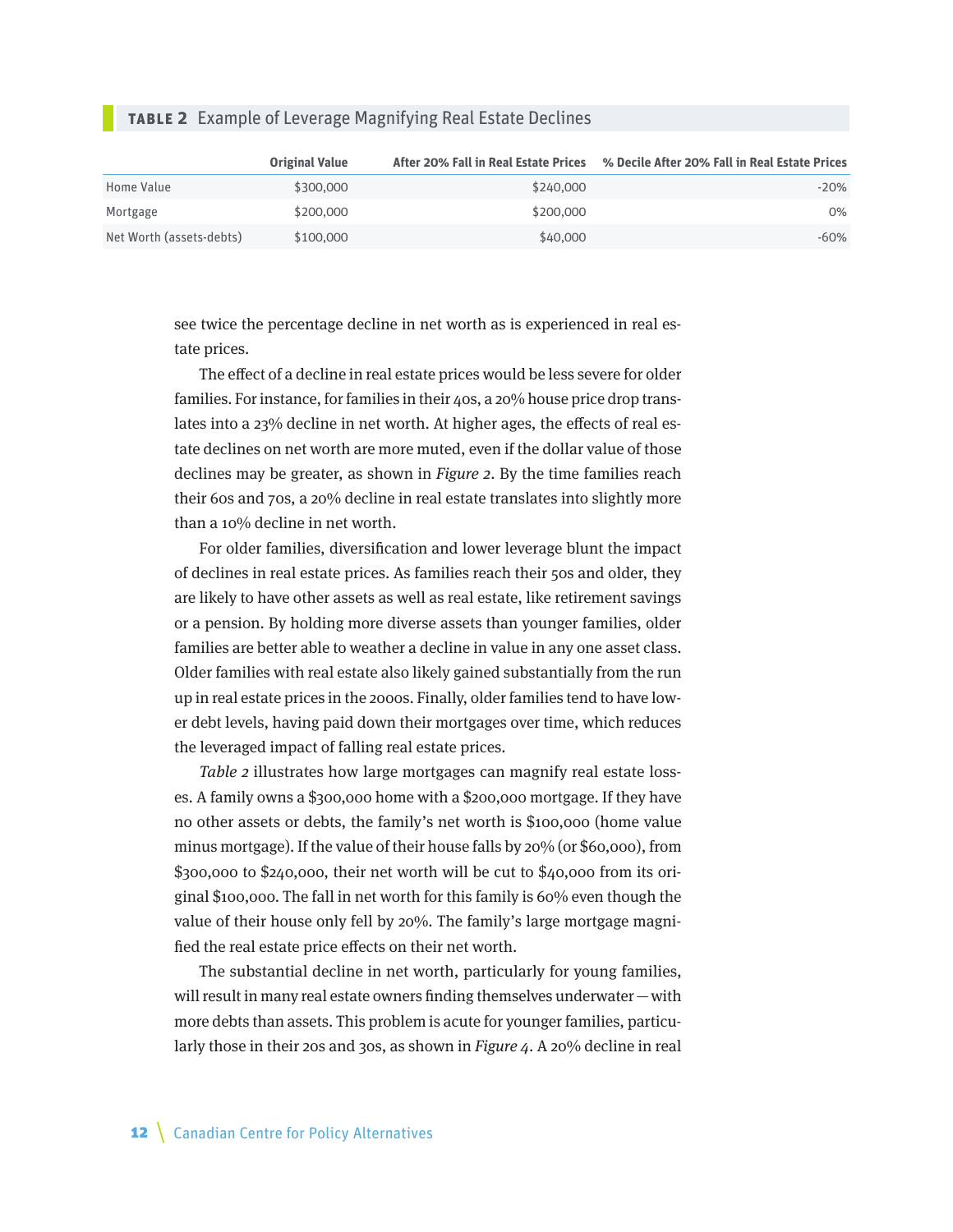#### **Table 2** Example of Leverage Magnifying Real Estate Declines

|                          | <b>Original Value</b> | After 20% Fall in Real Estate Prices | % Decile After 20% Fall in Real Estate Prices |
|--------------------------|-----------------------|--------------------------------------|-----------------------------------------------|
| Home Value               | \$300,000             | \$240,000                            | $-20%$                                        |
| Mortgage                 | \$200,000             | \$200,000                            | $0\%$                                         |
| Net Worth (assets-debts) | \$100,000             | \$40,000                             | $-60%$                                        |

see twice the percentage decline in net worth as is experienced in real estate prices.

The effect of a decline in real estate prices would be less severe for older families. For instance, for families in their 40s, a 20% house price drop translates into a 23% decline in net worth. At higher ages, the effects of real estate declines on net worth are more muted, even if the dollar value of those declines may be greater, as shown in Figure 2. By the time families reach their 60s and 70s, a 20% decline in real estate translates into slightly more than a 10% decline in net worth.

For older families, diversification and lower leverage blunt the impact of declines in real estate prices. As families reach their 50s and older, they are likely to have other assets as well as real estate, like retirement savings or a pension. By holding more diverse assets than younger families, older families are better able to weather a decline in value in any one asset class. Older families with real estate also likely gained substantially from the run up in real estate prices in the 2000s. Finally, older families tend to have lower debt levels, having paid down their mortgages over time, which reduces the leveraged impact of falling real estate prices.

Table 2 illustrates how large mortgages can magnify real estate losses. A family owns a \$300,000 home with a \$200,000 mortgage. If they have no other assets or debts, the family's net worth is \$100,000 (home value minus mortgage). If the value of their house falls by 20% (or \$60,000), from \$300,000 to \$240,000, their net worth will be cut to \$40,000 from its original \$100,000. The fall in net worth for this family is 60% even though the value of their house only fell by 20%. The family's large mortgage magnified the real estate price effects on their net worth.

The substantial decline in net worth, particularly for young families, will result in many real estate owners finding themselves underwater—with more debts than assets. This problem is acute for younger families, particularly those in their 20s and 30s, as shown in *Figure 4*. A 20% decline in real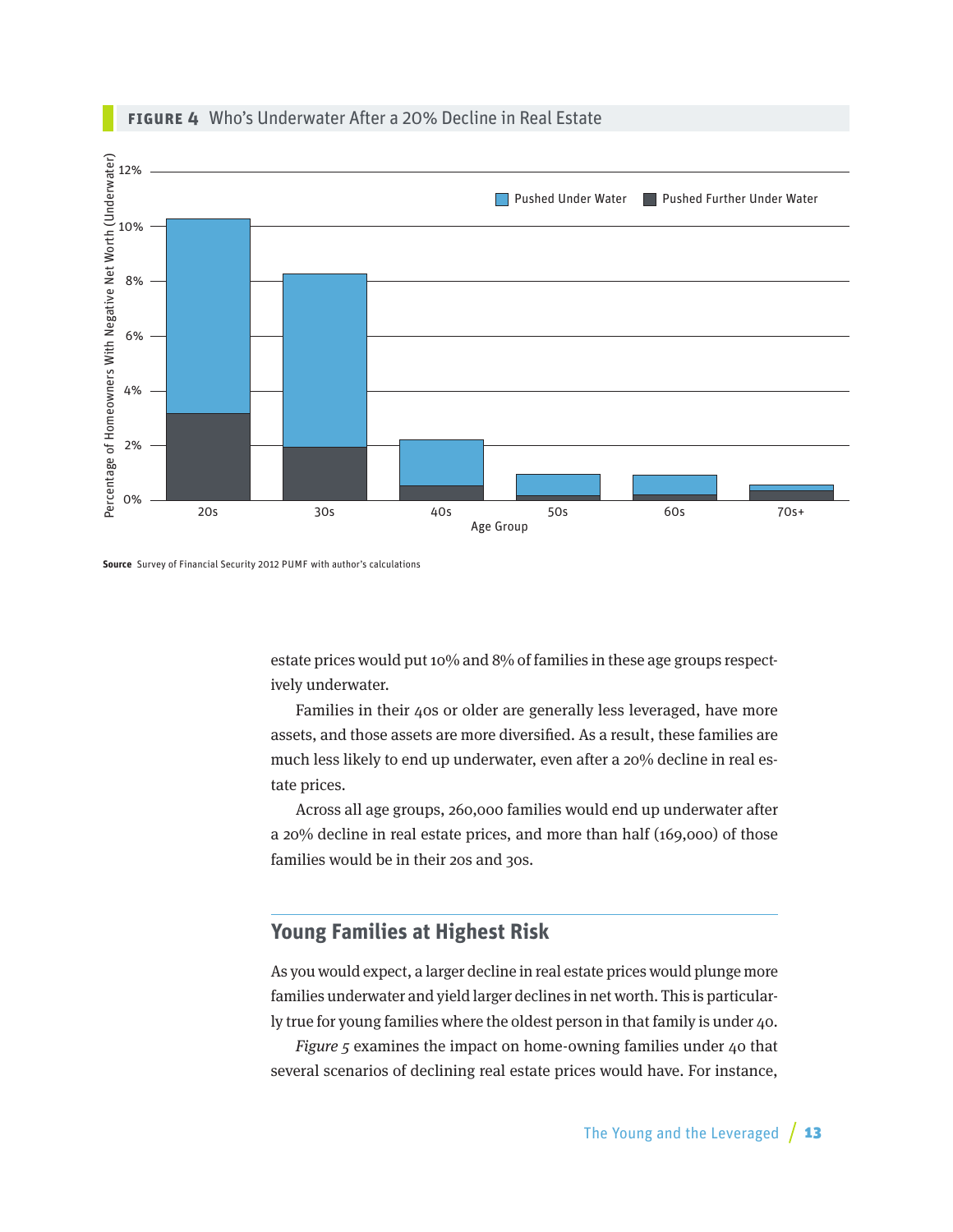<span id="page-12-0"></span>

#### **Figure 4** Who's Underwater After a 20% Decline in Real Estate



estate prices would put 10% and 8% of families in these age groups respectively underwater.

Families in their 40s or older are generally less leveraged, have more assets, and those assets are more diversified. As a result, these families are much less likely to end up underwater, even after a 20% decline in real estate prices.

Across all age groups, 260,000 families would end up underwater after a 20% decline in real estate prices, and more than half (169,000) of those families would be in their 20s and 30s.

## **Young Families at Highest Risk**

As you would expect, a larger decline in real estate prices would plunge more families underwater and yield larger declines in net worth. This is particularly true for young families where the oldest person in that family is under 40.

Figure 5 examines the impact on home-owning families under 40 that several scenarios of declining real estate prices would have. For instance,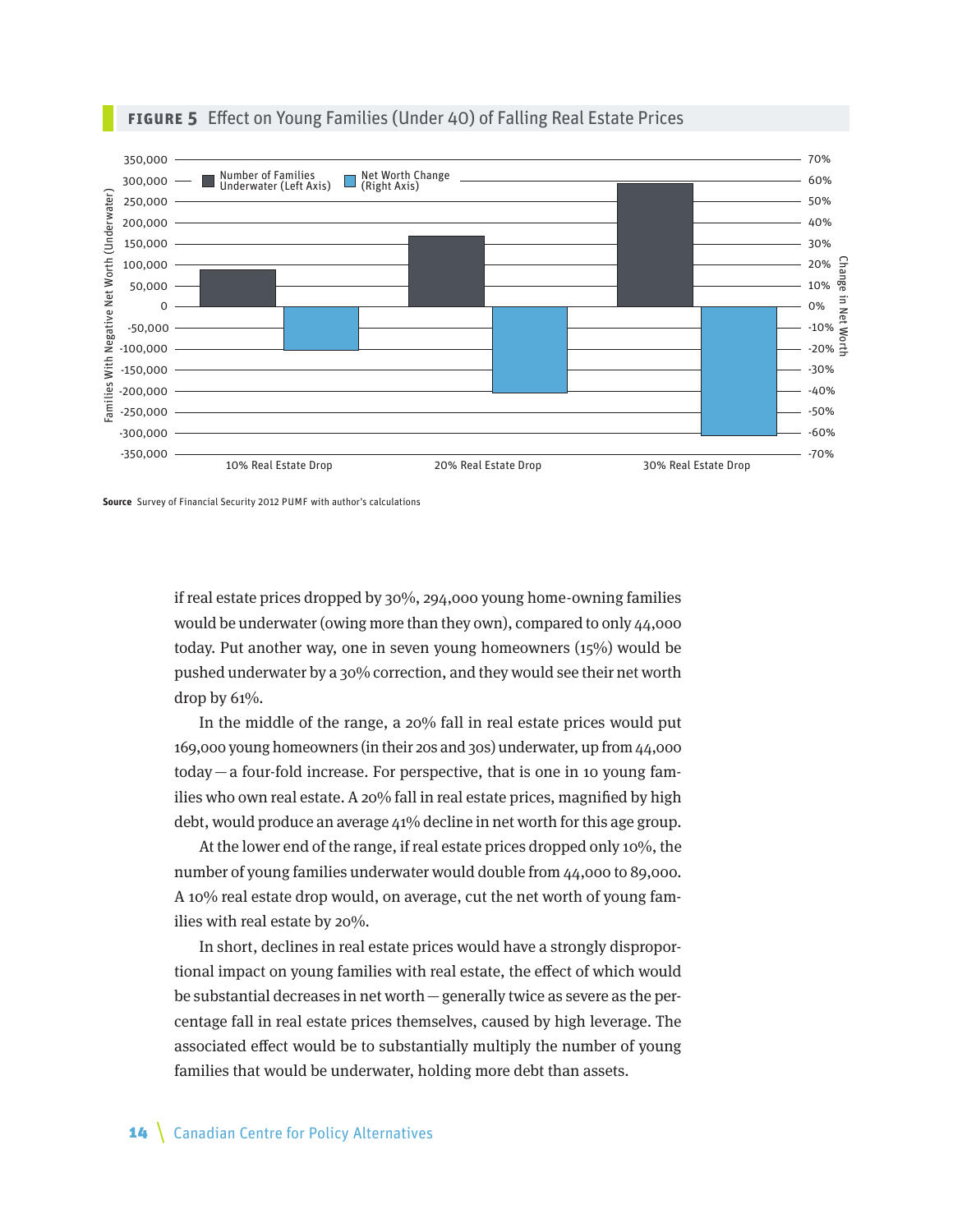

#### **Figure 5** Effect on Young Families (Under 40) of Falling Real Estate Prices

**Source** Survey of Financial Security 2012 PUMF with author's calculations

if real estate prices dropped by 30%, 294,000 young home-owning families would be underwater (owing more than they own), compared to only 44,000 today. Put another way, one in seven young homeowners (15%) would be pushed underwater by a 30% correction, and they would see their net worth drop by  $61\%$ .

In the middle of the range, a 20% fall in real estate prices would put 169,000 young homeowners (in their 20s and 30s) underwater, up from 44,000 today—a four-fold increase. For perspective, that is one in 10 young families who own real estate. A 20% fall in real estate prices, magnified by high debt, would produce an average 41% decline in net worth for this age group.

At the lower end of the range, if real estate prices dropped only 10%, the number of young families underwater would double from 44,000 to 89,000. A 10% real estate drop would, on average, cut the net worth of young families with real estate by 20%.

In short, declines in real estate prices would have a strongly disproportional impact on young families with real estate, the effect of which would be substantial decreases in net worth—generally twice as severe as the percentage fall in real estate prices themselves, caused by high leverage. The associated effect would be to substantially multiply the number of young families that would be underwater, holding more debt than assets.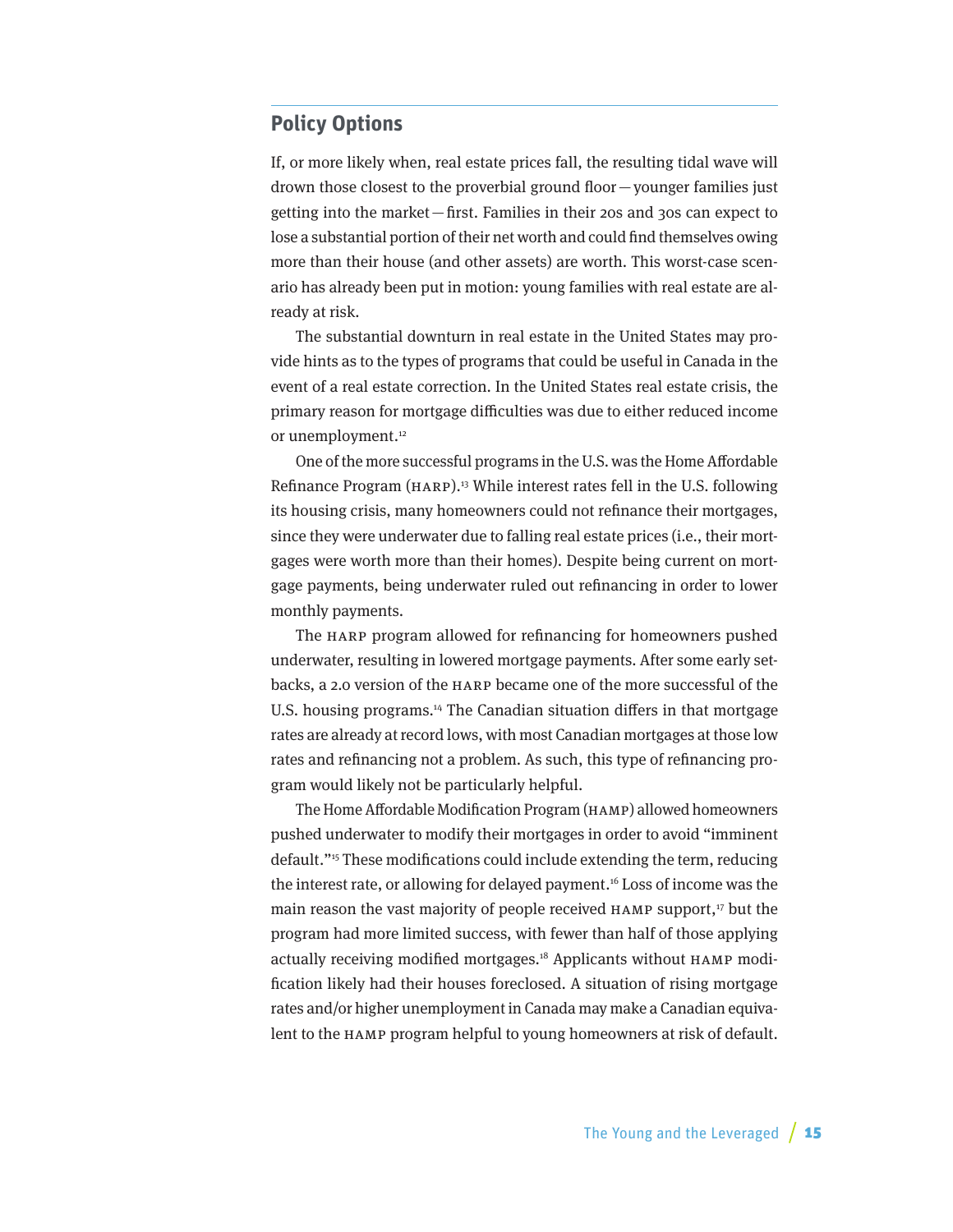## <span id="page-14-0"></span>**Policy Options**

If, or more likely when, real estate prices fall, the resulting tidal wave will drown those closest to the proverbial ground floor—younger families just getting into the market—first. Families in their 20s and 30s can expect to lose a substantial portion of their net worth and could find themselves owing more than their house (and other assets) are worth. This worst-case scenario has already been put in motion: young families with real estate are already at risk.

The substantial downturn in real estate in the United States may provide hints as to the types of programs that could be useful in Canada in the event of a real estate correction. In the United States real estate crisis, the primary reason for mortgage difficulties was due to either reduced income or unemployment.<sup>12</sup>

One of the more successful programs in the U.S. was the Home Affordable Refinance Program (HARP).<sup>13</sup> While interest rates fell in the U.S. following its housing crisis, many homeowners could not refinance their mortgages, since they were underwater due to falling real estate prices (i.e., their mortgages were worth more than their homes). Despite being current on mortgage payments, being underwater ruled out refinancing in order to lower monthly payments.

The HARP program allowed for refinancing for homeowners pushed underwater, resulting in lowered mortgage payments. After some early setbacks, a 2.0 version of the HARP became one of the more successful of the U.S. housing programs.<sup>14</sup> The Canadian situation differs in that mortgage rates are already at record lows, with most Canadian mortgages at those low rates and refinancing not a problem. As such, this type of refinancing program would likely not be particularly helpful.

The Home Affordable Modification Program (HAMP) allowed homeowners pushed underwater to modify their mortgages in order to avoid "imminent default."15 These modifications could include extending the term, reducing the interest rate, or allowing for delayed payment.16 Loss of income was the main reason the vast majority of people received  $HAMP$  support,<sup>17</sup> but the program had more limited success, with fewer than half of those applying actually receiving modified mortgages.18 Applicants without HAMP modification likely had their houses foreclosed. A situation of rising mortgage rates and/or higher unemployment in Canada may make a Canadian equivalent to the HAMP program helpful to young homeowners at risk of default.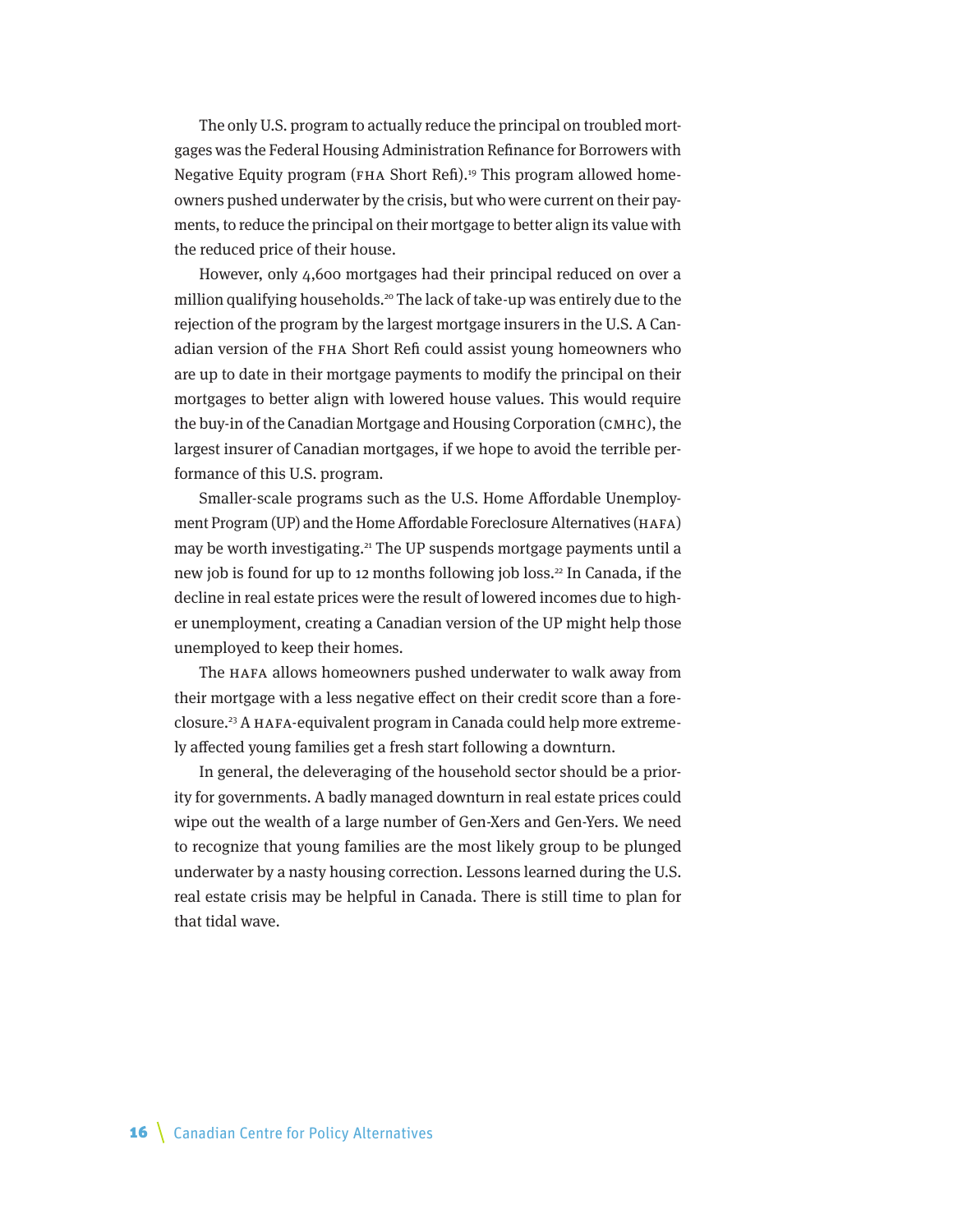The only U.S. program to actually reduce the principal on troubled mortgages was the Federal Housing Administration Refinance for Borrowers with Negative Equity program (FHA Short Refi).<sup>19</sup> This program allowed homeowners pushed underwater by the crisis, but who were current on their payments, to reduce the principal on their mortgage to better align its value with the reduced price of their house.

However, only 4,600 mortgages had their principal reduced on over a million qualifying households.<sup>20</sup> The lack of take-up was entirely due to the rejection of the program by the largest mortgage insurers in the U.S. A Canadian version of the FHA Short Refi could assist young homeowners who are up to date in their mortgage payments to modify the principal on their mortgages to better align with lowered house values. This would require the buy-in of the Canadian Mortgage and Housing Corporation (CMHC), the largest insurer of Canadian mortgages, if we hope to avoid the terrible performance of this U.S. program.

Smaller-scale programs such as the U.S. Home Affordable Unemployment Program (UP) and the Home Affordable Foreclosure Alternatives (HAFA) may be worth investigating.<sup>21</sup> The UP suspends mortgage payments until a new job is found for up to 12 months following job loss.<sup>22</sup> In Canada, if the decline in real estate prices were the result of lowered incomes due to higher unemployment, creating a Canadian version of the UP might help those unemployed to keep their homes.

The HAFA allows homeowners pushed underwater to walk away from their mortgage with a less negative effect on their credit score than a foreclosure.23 A HAFA-equivalent program in Canada could help more extremely affected young families get a fresh start following a downturn.

In general, the deleveraging of the household sector should be a priority for governments. A badly managed downturn in real estate prices could wipe out the wealth of a large number of Gen-Xers and Gen-Yers. We need to recognize that young families are the most likely group to be plunged underwater by a nasty housing correction. Lessons learned during the U.S. real estate crisis may be helpful in Canada. There is still time to plan for that tidal wave.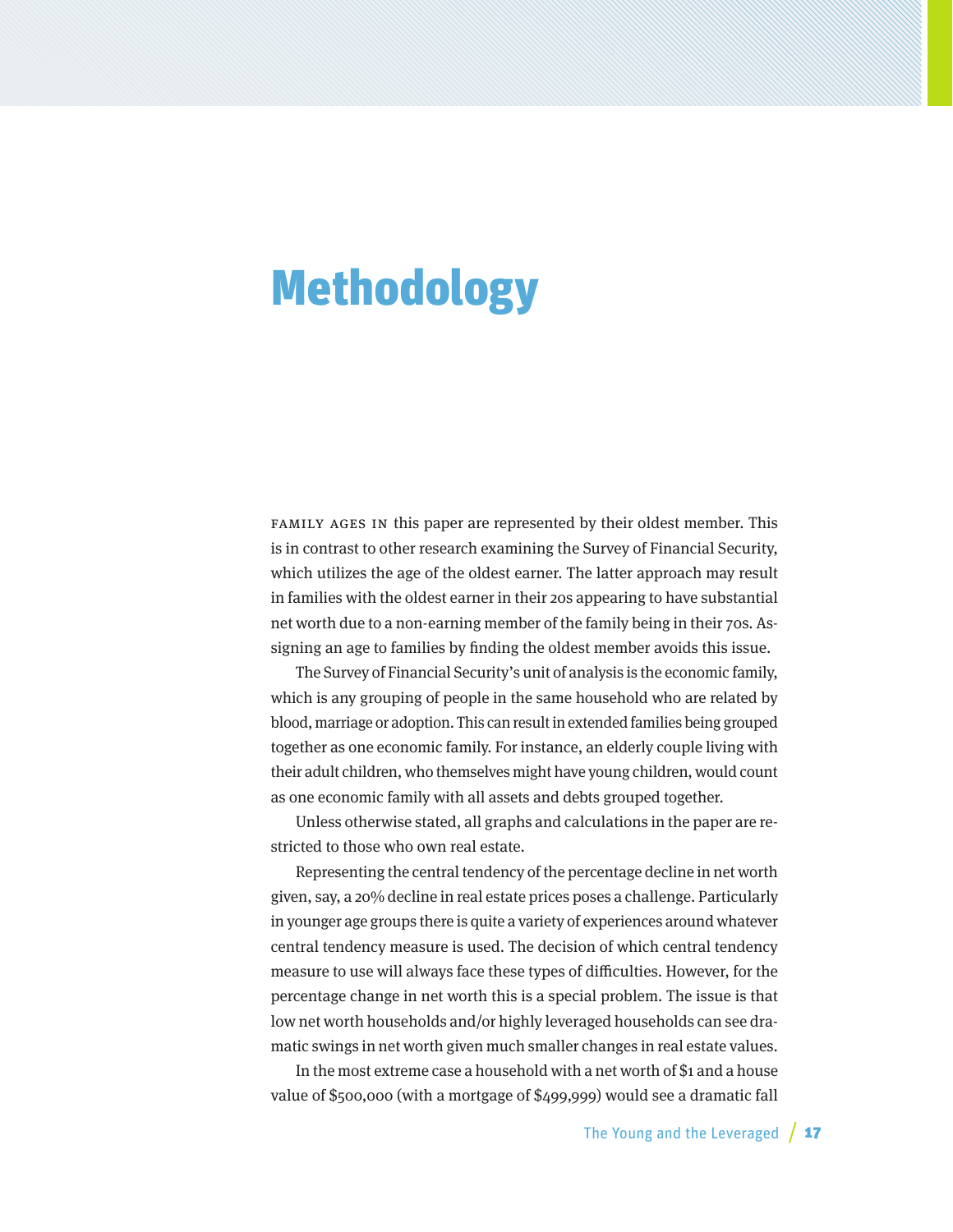# <span id="page-16-0"></span>Methodology

Family ages in this paper are represented by their oldest member. This is in contrast to other research examining the Survey of Financial Security, which utilizes the age of the oldest earner. The latter approach may result in families with the oldest earner in their 20s appearing to have substantial net worth due to a non-earning member of the family being in their 70s. Assigning an age to families by finding the oldest member avoids this issue.

The Survey of Financial Security's unit of analysis is the economic family, which is any grouping of people in the same household who are related by blood, marriage or adoption. This can result in extended families being grouped together as one economic family. For instance, an elderly couple living with their adult children, who themselves might have young children, would count as one economic family with all assets and debts grouped together.

Unless otherwise stated, all graphs and calculations in the paper are restricted to those who own real estate.

Representing the central tendency of the percentage decline in net worth given, say, a 20% decline in real estate prices poses a challenge. Particularly in younger age groups there is quite a variety of experiences around whatever central tendency measure is used. The decision of which central tendency measure to use will always face these types of difficulties. However, for the percentage change in net worth this is a special problem. The issue is that low net worth households and/or highly leveraged households can see dramatic swings in net worth given much smaller changes in real estate values.

In the most extreme case a household with a net worth of \$1 and a house value of \$500,000 (with a mortgage of \$499,999) would see a dramatic fall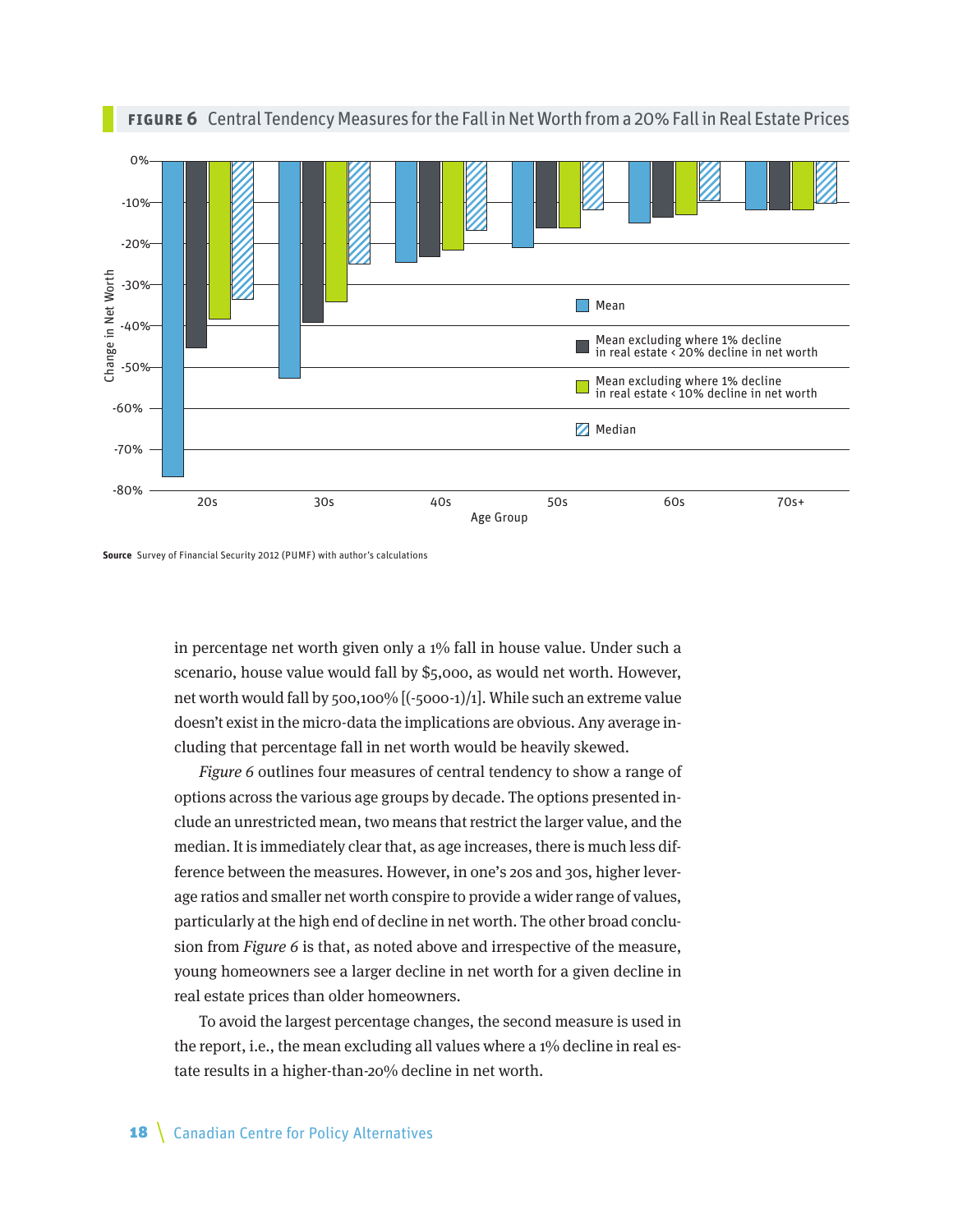

**Figure 6** Central Tendency Measures for the Fall in Net Worth from a 20% Fall in Real Estate Prices



in percentage net worth given only a 1% fall in house value. Under such a scenario, house value would fall by \$5,000, as would net worth. However, net worth would fall by 500,100% [(-5000-1)/1]. While such an extreme value doesn't exist in the micro-data the implications are obvious. Any average including that percentage fall in net worth would be heavily skewed.

Figure 6 outlines four measures of central tendency to show a range of options across the various age groups by decade. The options presented include an unrestricted mean, two means that restrict the larger value, and the median. It is immediately clear that, as age increases, there is much less difference between the measures. However, in one's 20s and 30s, higher leverage ratios and smaller net worth conspire to provide a wider range of values, particularly at the high end of decline in net worth. The other broad conclusion from Figure 6 is that, as noted above and irrespective of the measure, young homeowners see a larger decline in net worth for a given decline in real estate prices than older homeowners.

To avoid the largest percentage changes, the second measure is used in the report, i.e., the mean excluding all values where a 1% decline in real estate results in a higher-than-20% decline in net worth.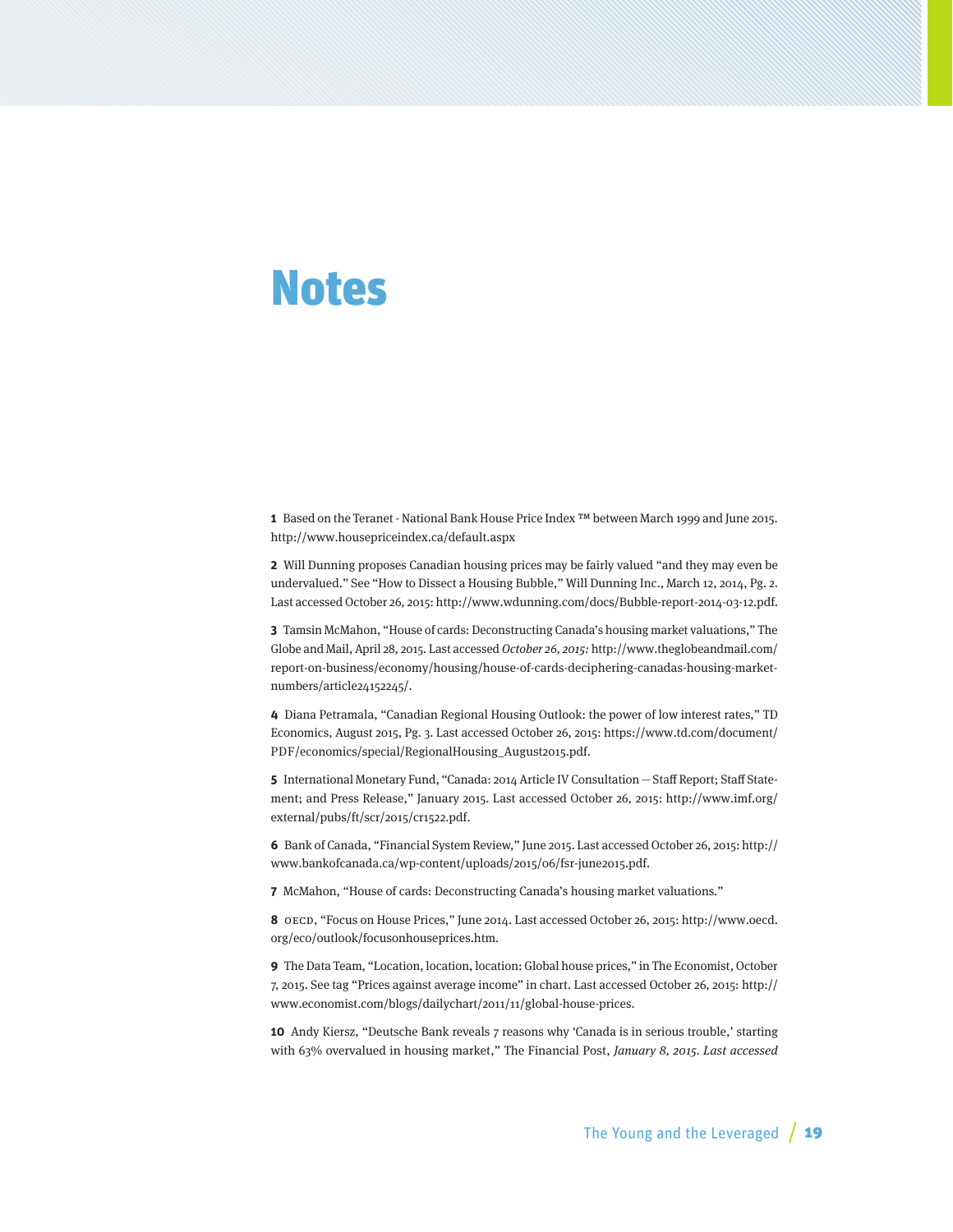## <span id="page-18-0"></span>Notes

**1** Based on the Teranet - National Bank House Price Index ™ between March 1999 and June 2015. http://www.housepriceindex.ca/default.aspx

**2** Will Dunning proposes Canadian housing prices may be fairly valued "and they may even be undervalued." See "How to Dissect a Housing Bubble," Will Dunning Inc., March 12, 2014, Pg. 2. Last accessed October 26, 2015: [http://www.wdunning.com/docs/Bubble-report-2014-03-12.pdf.](http://www.wdunning.com/docs/Bubble-report-2014-03-12.pdf)

**3** Tamsin McMahon, "House of cards: Deconstructing Canada's housing market valuations," The Globe and Mail, April 28, 2015. Last accessed October 26, 2015: [http://www.theglobeandmail.com/](http://www.theglobeandmail.com/report-on-business/economy/housing/house-of-cards-deciphering-canadas-housing-market-numbers/article24152245/) [report-on-business/economy/housing/house-of-cards-deciphering-canadas-housing-market](http://www.theglobeandmail.com/report-on-business/economy/housing/house-of-cards-deciphering-canadas-housing-market-numbers/article24152245/)[numbers/article24152245/.](http://www.theglobeandmail.com/report-on-business/economy/housing/house-of-cards-deciphering-canadas-housing-market-numbers/article24152245/)

**4** Diana Petramala, "Canadian Regional Housing Outlook: the power of low interest rates," TD Economics, August 2015, Pg. 3. Last accessed October 26, 2015: [https://www.td.com/document/](https://www.td.com/document/PDF/economics/special/RegionalHousing_August2015.pdf) [PDF/economics/special/RegionalHousing\\_August2015.pdf](https://www.td.com/document/PDF/economics/special/RegionalHousing_August2015.pdf).

**5** International Monetary Fund, "Canada: 2014 Article IV Consultation—Staff Report; Staff Statement; and Press Release," January 2015. Last accessed October 26, 2015: [http://www.imf.org/](http://www.imf.org/external/pubs/ft/scr/2015/cr1522.pdf) [external/pubs/ft/scr/2015/cr1522.pdf](http://www.imf.org/external/pubs/ft/scr/2015/cr1522.pdf).

**6** Bank of Canada, "Financial System Review," June 2015. Last accessed October 26, 2015: [http://](http://www.bankofcanada.ca/wp-content/uploads/2015/06/fsr-june2015.pdf) [www.bankofcanada.ca/wp-content/uploads/2015/06/fsr-june2015.pdf.](http://www.bankofcanada.ca/wp-content/uploads/2015/06/fsr-june2015.pdf)

**7** McMahon, "House of cards: Deconstructing Canada's housing market valuations."

**8** OECD, "Focus on House Prices," June 2014. Last accessed October 26, 2015: [http://www.oecd.](http://www.oecd.org/eco/outlook/focusonhouseprices.htm) [org/eco/outlook/focusonhouseprices.htm.](http://www.oecd.org/eco/outlook/focusonhouseprices.htm)

**9** The Data Team, "Location, location, location: Global house prices," in The Economist, October 7, 2015. See tag "Prices against average income" in chart. Last accessed October 26, 2015: [http://](http://www.economist.com/blogs/dailychart/2011/11/global-house-prices) [www.economist.com/blogs/dailychart/2011/11/global-house-prices.](http://www.economist.com/blogs/dailychart/2011/11/global-house-prices)

**10** Andy Kiersz, "Deutsche Bank reveals 7 reasons why 'Canada is in serious trouble,' starting with 63% overvalued in housing market," The Financial Post, January 8, 2015. Last accessed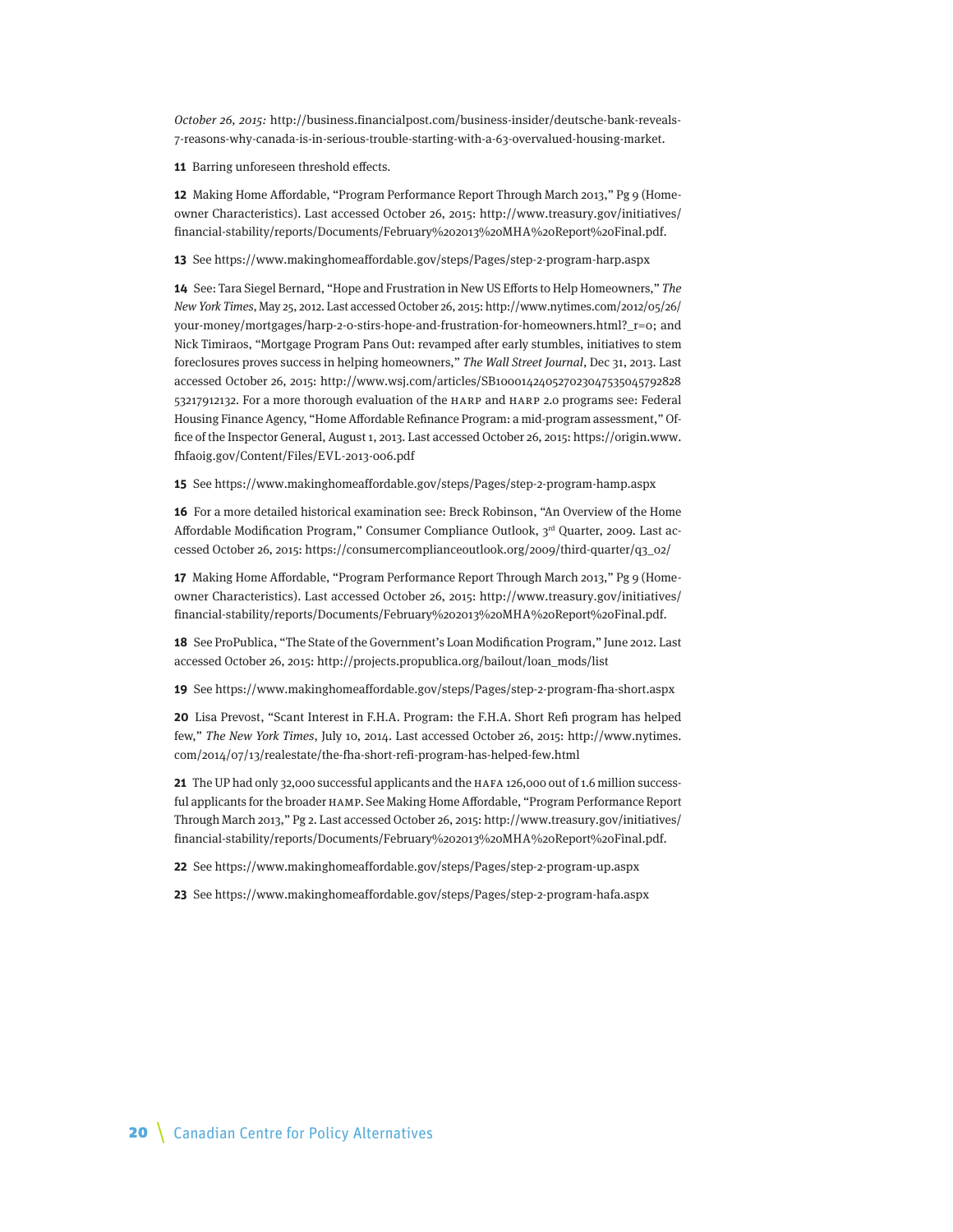October 26, 2015: [http://business.financialpost.com/business-insider/deutsche-bank-reveals-](http://business.financialpost.com/business-insider/deutsche-bank-reveals-7-reasons-why-canada-is-in-serious-trouble-starting-with-a-63-overvalued-housing-market)[7-reasons-why-canada-is-in-serious-trouble-starting-with-a-63-overvalued-housing-market](http://business.financialpost.com/business-insider/deutsche-bank-reveals-7-reasons-why-canada-is-in-serious-trouble-starting-with-a-63-overvalued-housing-market).

**11** Barring unforeseen threshold effects.

**12** Making Home Affordable, "Program Performance Report Through March 2013," Pg 9 (Homeowner Characteristics). Last accessed October 26, 2015: [http://www.treasury.gov/initiatives/](http://www.treasury.gov/initiatives/financial-stability/reports/Documents/February%202013%20MHA%20Report%20Final.pdf) [financial-stability/reports/Documents/February%202013%20MHA%20Report%20Final.pdf](http://www.treasury.gov/initiatives/financial-stability/reports/Documents/February%202013%20MHA%20Report%20Final.pdf).

**13** See <https://www.makinghomeaffordable.gov/steps/Pages/step-2-program-harp.aspx>

**14** See: Tara Siegel Bernard, "Hope and Frustration in New US Efforts to Help Homeowners," The New York Times, May 25, 2012. Last accessed October 26, 2015: [http://www.nytimes.com/2012/05/26/](http://www.nytimes.com/2012/05/26/your-money/mortgages/harp-2-0-stirs-hope-and-frustration-for-homeowners.html?_r=0) [your-money/mortgages/harp-2-0-stirs-hope-and-frustration-for-homeowners.html?\\_r=0;](http://www.nytimes.com/2012/05/26/your-money/mortgages/harp-2-0-stirs-hope-and-frustration-for-homeowners.html?_r=0) and Nick Timiraos, "Mortgage Program Pans Out: revamped after early stumbles, initiatives to stem foreclosures proves success in helping homeowners," The Wall Street Journal, Dec 31, 2013. Last accessed October 26, 2015: [http://www.wsj.com/articles/SB100014240527023047535045792828](http://www.wsj.com/articles/SB10001424052702304753504579282853217912132) [53217912132.](http://www.wsj.com/articles/SB10001424052702304753504579282853217912132) For a more thorough evaluation of the HARP and HARP 2.0 programs see: Federal Housing Finance Agency, "Home Affordable Refinance Program: a mid-program assessment," Office of the Inspector General, August 1, 2013. Last accessed October 26, 2015: [https://origin.www.](https://origin.www.fhfaoig.gov/Content/Files/EVL-2013-006.pdf) [fhfaoig.gov/Content/Files/EVL-2013-006.pdf](https://origin.www.fhfaoig.gov/Content/Files/EVL-2013-006.pdf)

**15** See <https://www.makinghomeaffordable.gov/steps/Pages/step-2-program-hamp.aspx>

**16** For a more detailed historical examination see: Breck Robinson, "An Overview of the Home Affordable Modification Program," Consumer Compliance Outlook, 3rd Quarter, 2009. Last accessed October 26, 2015: [https://consumercomplianceoutlook.org/2009/third-quarter/q3\\_02/](https://consumercomplianceoutlook.org/2009/third-quarter/q3_02/)

**17** Making Home Affordable, "Program Performance Report Through March 2013," Pg 9 (Homeowner Characteristics). Last accessed October 26, 2015: [http://www.treasury.gov/initiatives/](http://www.treasury.gov/initiatives/financial-stability/reports/Documents/February%202013%20MHA%20Report%20Final.pdf) [financial-stability/reports/Documents/February%202013%20MHA%20Report%20Final.pdf](http://www.treasury.gov/initiatives/financial-stability/reports/Documents/February%202013%20MHA%20Report%20Final.pdf).

**18** See ProPublica, "The State of the Government's Loan Modification Program," June 2012. Last accessed October 26, 2015: [http://projects.propublica.org/bailout/loan\\_mods/list](http://projects.propublica.org/bailout/loan_mods/list)

**19** See<https://www.makinghomeaffordable.gov/steps/Pages/step-2-program-fha-short.aspx>

**20** Lisa Prevost, "Scant Interest in F.H.A. Program: the F.H.A. Short Refi program has helped few," The New York Times, July 10, 2014. Last accessed October 26, 2015: [http://www.nytimes.](http://www.nytimes.com/2014/07/13/realestate/the-fha-short-refi-program-has-helped-few.html) [com/2014/07/13/realestate/the-fha-short-refi-program-has-helped-few.html](http://www.nytimes.com/2014/07/13/realestate/the-fha-short-refi-program-has-helped-few.html)

**21** The UP had only 32,000 successful applicants and the HAFA 126,000 out of 1.6 million successful applicants for the broader HAMP. See Making Home Affordable, "Program Performance Report Through March 2013," Pg 2. Last accessed October 26, 2015: [http://www.treasury.gov/initiatives/](http://www.treasury.gov/initiatives/financial-stability/reports/Documents/February%202013%20MHA%20Report%20Final.pdf) [financial-stability/reports/Documents/February%202013%20MHA%20Report%20Final.pdf](http://www.treasury.gov/initiatives/financial-stability/reports/Documents/February%202013%20MHA%20Report%20Final.pdf).

**22** See<https://www.makinghomeaffordable.gov/steps/Pages/step-2-program-up.aspx>

**23** See<https://www.makinghomeaffordable.gov/steps/Pages/step-2-program-hafa.aspx>